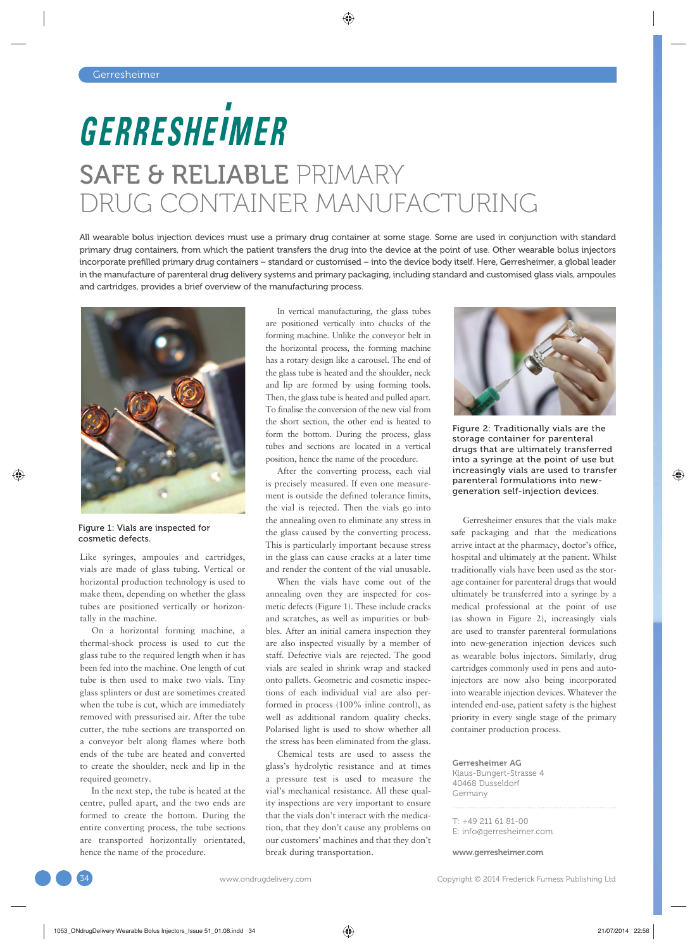## GERRESHEIMER SAFE & RELIABLE PRIMARY DRUG CONTAINER MANUFACTURING

All wearable bolus injection devices must use a primary drug container at some stage. Some are used in conjunction with standard primary drug containers, from which the patient transfers the drug into the device at the point of use. Other wearable bolus injectors incorporate prefilled primary drug containers – standard or customised – into the device body itself. Here, Gerresheimer, a global leader in the manufacture of parenteral drug delivery systems and primary packaging, including standard and customised glass vials, ampoules and cartridges, provides a brief overview of the manufacturing process.



Figure 1: Vials are inspected for cosmetic defects.

Like syringes, ampoules and cartridges, vials are made of glass tubing. Vertical or horizontal production technology is used to make them, depending on whether the glass tubes are positioned vertically or horizontally in the machine.

On a horizontal forming machine, a thermal-shock process is used to cut the glass tube to the required length when it has been fed into the machine. One length of cut tube is then used to make two vials. Tiny glass splinters or dust are sometimes created when the tube is cut, which are immediately removed with pressurised air. After the tube cutter, the tube sections are transported on a conveyor belt along flames where both ends of the tube are heated and converted to create the shoulder, neck and lip in the required geometry.

In the next step, the tube is heated at the centre, pulled apart, and the two ends are formed to create the bottom. During the entire converting process, the tube sections are transported horizontally orientated, hence the name of the procedure.

In vertical manufacturing, the glass tubes are positioned vertically into chucks of the forming machine. Unlike the conveyor belt in the horizontal process, the forming machine has a rotary design like a carousel. The end of the glass tube is heated and the shoulder, neck and lip are formed by using forming tools. Then, the glass tube is heated and pulled apart. To finalise the conversion of the new vial from the short section, the other end is heated to form the bottom. During the process, glass tubes and sections are located in a vertical position, hence the name of the procedure.

After the converting process, each vial is precisely measured. If even one measurement is outside the defined tolerance limits, the vial is rejected. Then the vials go into the annealing oven to eliminate any stress in the glass caused by the converting process. This is particularly important because stress in the glass can cause cracks at a later time and render the content of the vial unusable.

When the vials have come out of the annealing oven they are inspected for cosmetic defects (Figure 1). These include cracks and scratches, as well as impurities or bubbles. After an initial camera inspection they are also inspected visually by a member of staff. Defective vials are rejected. The good vials are sealed in shrink wrap and stacked onto pallets. Geometric and cosmetic inspections of each individual vial are also performed in process (100% inline control), as well as additional random quality checks. Polarised light is used to show whether all the stress has been eliminated from the glass.

Chemical tests are used to assess the glass's hydrolytic resistance and at times a pressure test is used to measure the vial's mechanical resistance. All these quality inspections are very important to ensure that the vials don't interact with the medication, that they don't cause any problems on our customers' machines and that they don't break during transportation.



Figure 2: Traditionally vials are the storage container for parenteral drugs that are ultimately transferred into a syringe at the point of use but increasingly vials are used to transfer parenteral formulations into newgeneration self-injection devices.

Gerresheimer ensures that the vials make safe packaging and that the medications arrive intact at the pharmacy, doctor's office, hospital and ultimately at the patient. Whilst traditionally vials have been used as the storage container for parenteral drugs that would ultimately be transferred into a syringe by a medical professional at the point of use (as shown in Figure 2), increasingly vials are used to transfer parenteral formulations into new-generation injection devices such as wearable bolus injectors. Similarly, drug cartridges commonly used in pens and autoinjectors are now also being incorporated into wearable injection devices. Whatever the intended end-use, patient safety is the highest priority in every single stage of the primary container production process.

Gerresheimer AG Klaus-Bungert-Strasse 4 40468 Dusseldorf Germany

 $T: +49, 211, 61, 81 - 00$ E: info@gerresheimer.com

www.gerresheimer.com